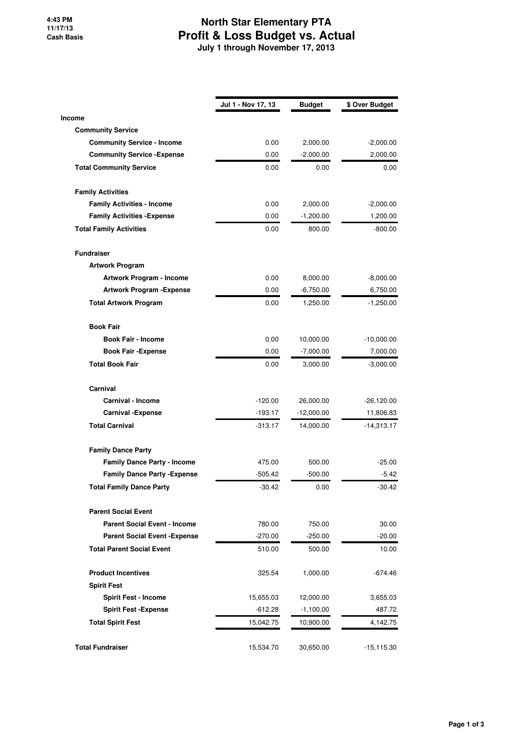## **North Star Elementary PTA Profit & Loss Budget vs. Actual July 1 through November 17, 2013**

|                                      | Jul 1 - Nov 17, 13 | <b>Budget</b> | \$ Over Budget |
|--------------------------------------|--------------------|---------------|----------------|
| <b>Income</b>                        |                    |               |                |
| <b>Community Service</b>             |                    |               |                |
| <b>Community Service - Income</b>    | 0.00               | 2,000.00      | $-2,000.00$    |
| <b>Community Service - Expense</b>   | 0.00               | $-2,000.00$   | 2,000.00       |
| <b>Total Community Service</b>       | 0.00               | 0.00          | 0.00           |
| <b>Family Activities</b>             |                    |               |                |
| <b>Family Activities - Income</b>    | 0.00               | 2,000.00      | $-2,000.00$    |
| <b>Family Activities - Expense</b>   | 0.00               | $-1,200.00$   | 1,200.00       |
| <b>Total Family Activities</b>       | 0.00               | 800.00        | $-800.00$      |
| <b>Fundraiser</b>                    |                    |               |                |
| <b>Artwork Program</b>               |                    |               |                |
| Artwork Program - Income             | 0.00               | 8,000.00      | $-8,000.00$    |
| <b>Artwork Program - Expense</b>     | 0.00               | $-6,750.00$   | 6,750.00       |
| <b>Total Artwork Program</b>         | 0.00               | 1,250.00      | $-1,250.00$    |
| <b>Book Fair</b>                     |                    |               |                |
| <b>Book Fair - Income</b>            | 0.00               | 10,000.00     | $-10,000.00$   |
| <b>Book Fair -Expense</b>            | 0.00               | $-7,000.00$   | 7,000.00       |
| <b>Total Book Fair</b>               | 0.00               | 3,000.00      | $-3,000.00$    |
| Carnival                             |                    |               |                |
| Carnival - Income                    | $-120.00$          | 26,000.00     | $-26,120.00$   |
| <b>Carnival - Expense</b>            | $-193.17$          | $-12,000.00$  | 11,806.83      |
| <b>Total Carnival</b>                | $-313.17$          | 14,000.00     | $-14,313.17$   |
| <b>Family Dance Party</b>            |                    |               |                |
| <b>Family Dance Party - Income</b>   | 475.00             | 500.00        | $-25.00$       |
| <b>Family Dance Party - Expense</b>  | $-505.42$          | $-500.00$     | $-5.42$        |
| <b>Total Family Dance Party</b>      | $-30.42$           | 0.00          | $-30.42$       |
| <b>Parent Social Event</b>           |                    |               |                |
| <b>Parent Social Event - Income</b>  | 780.00             | 750.00        | 30.00          |
| <b>Parent Social Event - Expense</b> | $-270.00$          | $-250.00$     | $-20.00$       |
| <b>Total Parent Social Event</b>     | 510.00             | 500.00        | 10.00          |
| <b>Product Incentives</b>            | 325.54             | 1,000.00      | $-674.46$      |
| <b>Spirit Fest</b>                   |                    |               |                |
| <b>Spirit Fest - Income</b>          | 15,655.03          | 12,000.00     | 3,655.03       |
| <b>Spirit Fest - Expense</b>         | $-612.28$          | $-1,100.00$   | 487.72         |
| <b>Total Spirit Fest</b>             | 15,042.75          | 10,900.00     | 4,142.75       |
| <b>Total Fundraiser</b>              | 15,534.70          | 30,650.00     | $-15,115.30$   |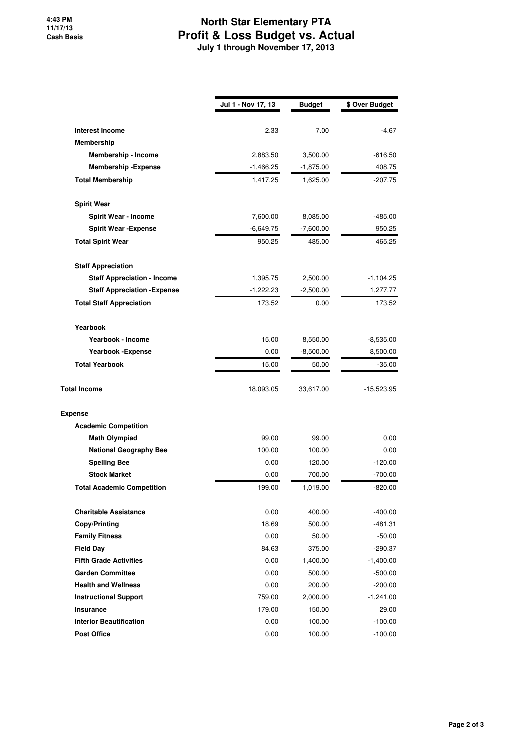## **North Star Elementary PTA Profit & Loss Budget vs. Actual July 1 through November 17, 2013**

|                                     | Jul 1 - Nov 17, 13 | <b>Budget</b> | \$ Over Budget |
|-------------------------------------|--------------------|---------------|----------------|
| <b>Interest Income</b>              | 2.33               | 7.00          | -4.67          |
| Membership                          |                    |               |                |
| Membership - Income                 | 2,883.50           | 3,500.00      | $-616.50$      |
| <b>Membership - Expense</b>         | -1,466.25          | $-1,875.00$   | 408.75         |
| <b>Total Membership</b>             | 1,417.25           | 1,625.00      | $-207.75$      |
|                                     |                    |               |                |
| <b>Spirit Wear</b>                  |                    |               |                |
| <b>Spirit Wear - Income</b>         | 7,600.00           | 8,085.00      | $-485.00$      |
| <b>Spirit Wear - Expense</b>        | $-6,649.75$        | $-7,600.00$   | 950.25         |
| <b>Total Spirit Wear</b>            | 950.25             | 485.00        | 465.25         |
| <b>Staff Appreciation</b>           |                    |               |                |
| <b>Staff Appreciation - Income</b>  | 1,395.75           | 2,500.00      | $-1,104.25$    |
| <b>Staff Appreciation - Expense</b> | $-1,222.23$        | $-2,500.00$   | 1,277.77       |
| <b>Total Staff Appreciation</b>     | 173.52             | 0.00          | 173.52         |
|                                     |                    |               |                |
| Yearbook                            |                    |               |                |
| Yearbook - Income                   | 15.00              | 8,550.00      | $-8,535.00$    |
| Yearbook - Expense                  | 0.00               | $-8,500.00$   | 8,500.00       |
| <b>Total Yearbook</b>               | 15.00              | 50.00         | $-35.00$       |
| <b>Total Income</b>                 | 18,093.05          | 33,617.00     | $-15,523.95$   |
| <b>Expense</b>                      |                    |               |                |
| <b>Academic Competition</b>         |                    |               |                |
| <b>Math Olympiad</b>                | 99.00              | 99.00         | 0.00           |
| <b>National Geography Bee</b>       | 100.00             | 100.00        | 0.00           |
| <b>Spelling Bee</b>                 | 0.00               | 120.00        | $-120.00$      |
| <b>Stock Market</b>                 | 0.00               | 700.00        | $-700.00$      |
| <b>Total Academic Competition</b>   | 199.00             | 1,019.00      | $-820.00$      |
| <b>Charitable Assistance</b>        | 0.00               | 400.00        | $-400.00$      |
| <b>Copy/Printing</b>                | 18.69              | 500.00        | -481.31        |
| <b>Family Fitness</b>               | 0.00               | 50.00         | $-50.00$       |
| <b>Field Day</b>                    | 84.63              | 375.00        | $-290.37$      |
| <b>Fifth Grade Activities</b>       | 0.00               | 1,400.00      | $-1,400.00$    |
| <b>Garden Committee</b>             | 0.00               | 500.00        | $-500.00$      |
| <b>Health and Wellness</b>          | 0.00               | 200.00        | $-200.00$      |
| <b>Instructional Support</b>        | 759.00             | 2,000.00      | $-1,241.00$    |
| <b>Insurance</b>                    | 179.00             | 150.00        | 29.00          |
| <b>Interior Beautification</b>      | 0.00               | 100.00        | $-100.00$      |
| <b>Post Office</b>                  | 0.00               | 100.00        | $-100.00$      |